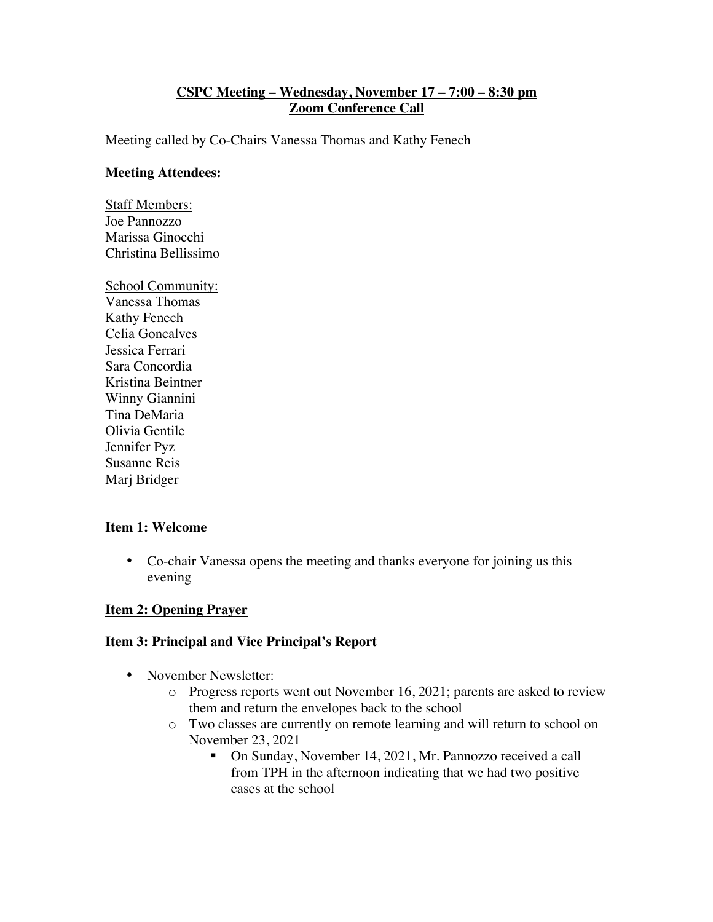## **CSPC Meeting – Wednesday, November 17 – 7:00 – 8:30 pm Zoom Conference Call**

Meeting called by Co-Chairs Vanessa Thomas and Kathy Fenech

#### **Meeting Attendees:**

Staff Members: Joe Pannozzo Marissa Ginocchi Christina Bellissimo

School Community: Vanessa Thomas Kathy Fenech Celia Goncalves Jessica Ferrari Sara Concordia Kristina Beintner Winny Giannini Tina DeMaria Olivia Gentile Jennifer Pyz Susanne Reis Marj Bridger

### **Item 1: Welcome**

• Co-chair Vanessa opens the meeting and thanks everyone for joining us this evening

### **Item 2: Opening Prayer**

### **Item 3: Principal and Vice Principal's Report**

- November Newsletter:
	- o Progress reports went out November 16, 2021; parents are asked to review them and return the envelopes back to the school
	- o Two classes are currently on remote learning and will return to school on November 23, 2021
		- On Sunday, November 14, 2021, Mr. Pannozzo received a call from TPH in the afternoon indicating that we had two positive cases at the school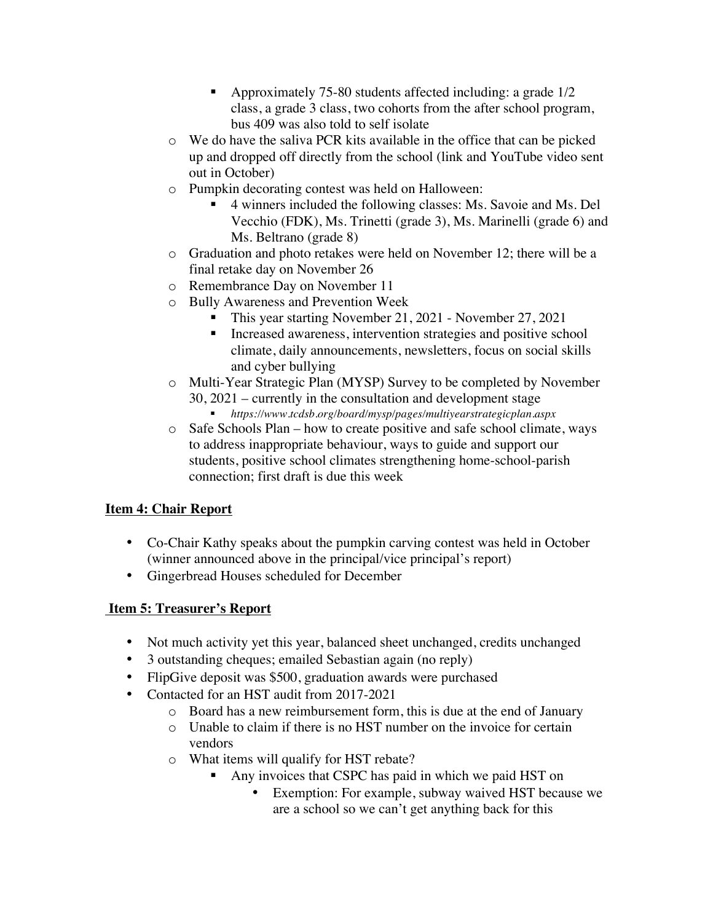- § Approximately 75-80 students affected including: a grade 1/2 class, a grade 3 class, two cohorts from the after school program, bus 409 was also told to self isolate
- o We do have the saliva PCR kits available in the office that can be picked up and dropped off directly from the school (link and YouTube video sent out in October)
- o Pumpkin decorating contest was held on Halloween:
	- § 4 winners included the following classes: Ms. Savoie and Ms. Del Vecchio (FDK), Ms. Trinetti (grade 3), Ms. Marinelli (grade 6) and Ms. Beltrano (grade 8)
- o Graduation and photo retakes were held on November 12; there will be a final retake day on November 26
- o Remembrance Day on November 11
- o Bully Awareness and Prevention Week
	- This year starting November 21, 2021 November 27, 2021
	- Increased awareness, intervention strategies and positive school climate, daily announcements, newsletters, focus on social skills and cyber bullying
- o Multi-Year Strategic Plan (MYSP) Survey to be completed by November 30, 2021 – currently in the consultation and development stage
	- § *https://www.tcdsb.org/board/mysp/pages/multiyearstrategicplan.aspx*
- o Safe Schools Plan how to create positive and safe school climate, ways to address inappropriate behaviour, ways to guide and support our students, positive school climates strengthening home-school-parish connection; first draft is due this week

# **Item 4: Chair Report**

- Co-Chair Kathy speaks about the pumpkin carving contest was held in October (winner announced above in the principal/vice principal's report)
- Gingerbread Houses scheduled for December

# **Item 5: Treasurer's Report**

- Not much activity yet this year, balanced sheet unchanged, credits unchanged
- 3 outstanding cheques; emailed Sebastian again (no reply)
- FlipGive deposit was \$500, graduation awards were purchased
- Contacted for an HST audit from 2017-2021
	- o Board has a new reimbursement form, this is due at the end of January
	- o Unable to claim if there is no HST number on the invoice for certain vendors
	- o What items will qualify for HST rebate?
		- Any invoices that CSPC has paid in which we paid HST on
			- Exemption: For example, subway waived HST because we are a school so we can't get anything back for this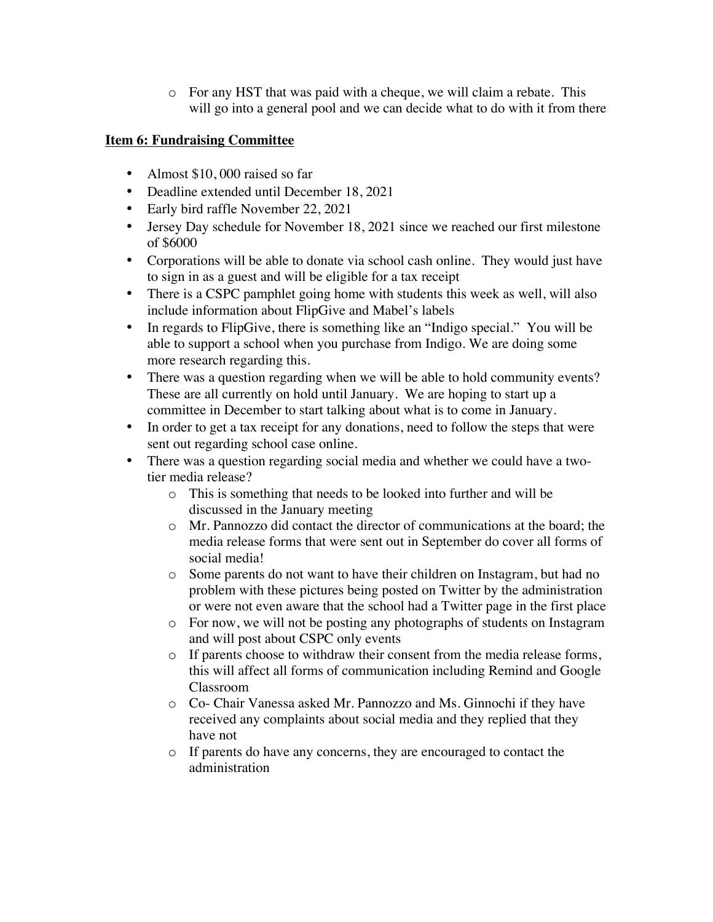o For any HST that was paid with a cheque, we will claim a rebate. This will go into a general pool and we can decide what to do with it from there

## **Item 6: Fundraising Committee**

- Almost \$10,000 raised so far
- Deadline extended until December 18, 2021
- Early bird raffle November 22, 2021
- Jersey Day schedule for November 18, 2021 since we reached our first milestone of \$6000
- Corporations will be able to donate via school cash online. They would just have to sign in as a guest and will be eligible for a tax receipt
- There is a CSPC pamphlet going home with students this week as well, will also include information about FlipGive and Mabel's labels
- In regards to FlipGive, there is something like an "Indigo special." You will be able to support a school when you purchase from Indigo. We are doing some more research regarding this.
- There was a question regarding when we will be able to hold community events? These are all currently on hold until January. We are hoping to start up a committee in December to start talking about what is to come in January.
- In order to get a tax receipt for any donations, need to follow the steps that were sent out regarding school case online.
- There was a question regarding social media and whether we could have a twotier media release?
	- o This is something that needs to be looked into further and will be discussed in the January meeting
	- o Mr. Pannozzo did contact the director of communications at the board; the media release forms that were sent out in September do cover all forms of social media!
	- o Some parents do not want to have their children on Instagram, but had no problem with these pictures being posted on Twitter by the administration or were not even aware that the school had a Twitter page in the first place
	- o For now, we will not be posting any photographs of students on Instagram and will post about CSPC only events
	- o If parents choose to withdraw their consent from the media release forms, this will affect all forms of communication including Remind and Google Classroom
	- o Co- Chair Vanessa asked Mr. Pannozzo and Ms. Ginnochi if they have received any complaints about social media and they replied that they have not
	- o If parents do have any concerns, they are encouraged to contact the administration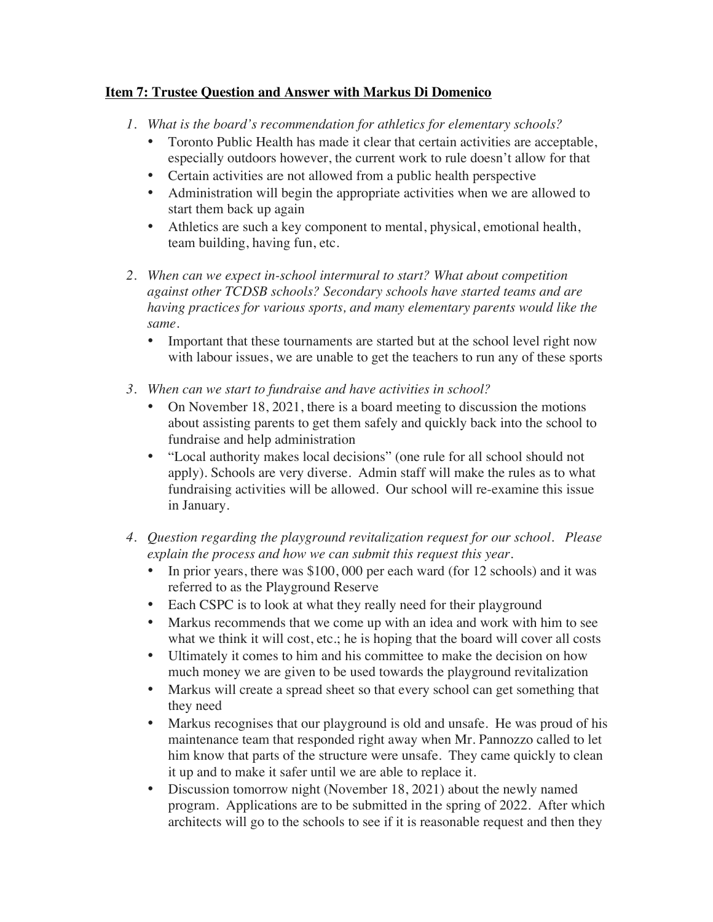## **Item 7: Trustee Question and Answer with Markus Di Domenico**

- *1. What is the board's recommendation for athletics for elementary schools?*
	- Toronto Public Health has made it clear that certain activities are acceptable, especially outdoors however, the current work to rule doesn't allow for that
	- Certain activities are not allowed from a public health perspective
	- Administration will begin the appropriate activities when we are allowed to start them back up again
	- Athletics are such a key component to mental, physical, emotional health, team building, having fun, etc.
- *2. When can we expect in-school intermural to start? What about competition against other TCDSB schools? Secondary schools have started teams and are having practices for various sports, and many elementary parents would like the same.*
	- Important that these tournaments are started but at the school level right now with labour issues, we are unable to get the teachers to run any of these sports
- *3. When can we start to fundraise and have activities in school?*
	- On November 18, 2021, there is a board meeting to discussion the motions about assisting parents to get them safely and quickly back into the school to fundraise and help administration
	- "Local authority makes local decisions" (one rule for all school should not apply). Schools are very diverse. Admin staff will make the rules as to what fundraising activities will be allowed. Our school will re-examine this issue in January.
- *4. Question regarding the playground revitalization request for our school. Please explain the process and how we can submit this request this year.*
	- In prior years, there was \$100,000 per each ward (for 12 schools) and it was referred to as the Playground Reserve
	- Each CSPC is to look at what they really need for their playground
	- Markus recommends that we come up with an idea and work with him to see what we think it will cost, etc.; he is hoping that the board will cover all costs
	- Ultimately it comes to him and his committee to make the decision on how much money we are given to be used towards the playground revitalization
	- Markus will create a spread sheet so that every school can get something that they need
	- Markus recognises that our playground is old and unsafe. He was proud of his maintenance team that responded right away when Mr. Pannozzo called to let him know that parts of the structure were unsafe. They came quickly to clean it up and to make it safer until we are able to replace it.
	- Discussion tomorrow night (November 18, 2021) about the newly named program. Applications are to be submitted in the spring of 2022. After which architects will go to the schools to see if it is reasonable request and then they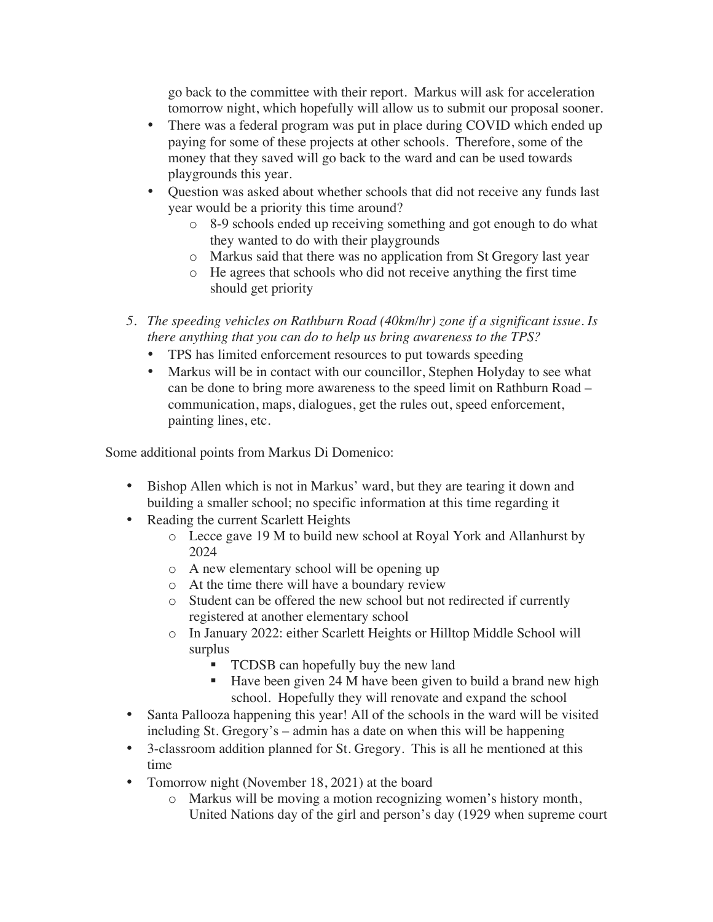go back to the committee with their report. Markus will ask for acceleration tomorrow night, which hopefully will allow us to submit our proposal sooner.

- There was a federal program was put in place during COVID which ended up paying for some of these projects at other schools. Therefore, some of the money that they saved will go back to the ward and can be used towards playgrounds this year.
- Question was asked about whether schools that did not receive any funds last year would be a priority this time around?
	- o 8-9 schools ended up receiving something and got enough to do what they wanted to do with their playgrounds
	- o Markus said that there was no application from St Gregory last year
	- o He agrees that schools who did not receive anything the first time should get priority
- *5. The speeding vehicles on Rathburn Road (40km/hr) zone if a significant issue. Is there anything that you can do to help us bring awareness to the TPS?*
	- TPS has limited enforcement resources to put towards speeding
	- Markus will be in contact with our councillor, Stephen Holyday to see what can be done to bring more awareness to the speed limit on Rathburn Road – communication, maps, dialogues, get the rules out, speed enforcement, painting lines, etc.

Some additional points from Markus Di Domenico:

- Bishop Allen which is not in Markus' ward, but they are tearing it down and building a smaller school; no specific information at this time regarding it
- Reading the current Scarlett Heights
	- o Lecce gave 19 M to build new school at Royal York and Allanhurst by 2024
	- o A new elementary school will be opening up
	- o At the time there will have a boundary review
	- o Student can be offered the new school but not redirected if currently registered at another elementary school
	- o In January 2022: either Scarlett Heights or Hilltop Middle School will surplus
		- TCDSB can hopefully buy the new land
		- Have been given 24 M have been given to build a brand new high school. Hopefully they will renovate and expand the school
- Santa Pallooza happening this year! All of the schools in the ward will be visited including St. Gregory's – admin has a date on when this will be happening
- 3-classroom addition planned for St. Gregory. This is all he mentioned at this time
- Tomorrow night (November 18, 2021) at the board
	- o Markus will be moving a motion recognizing women's history month, United Nations day of the girl and person's day (1929 when supreme court